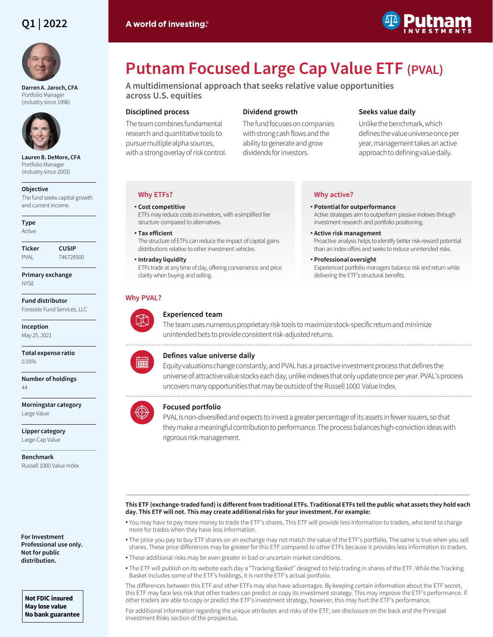# **Q1 | 2022**



**Darren A. Jaroch, CFA**  Portfolio Manager (industry since 1996)



**Lauren B. DeMore, CFA**  Portfolio Manager (industry since 2003)

# **Objective**

The fund seeks capital growth and current income.

**Type** Active

| Ticker      | CUSIP     |
|-------------|-----------|
| <b>PVAI</b> | 746729300 |

**Primary exchange NYSE** 

**Fund distributor** Foreside Fund Services, LLC

**Inception** May 25, 2021

**Total expense ratio** 0.55%

**Number of holdings** 44

**Morningstar category** Large Value

**Lipper category** Large-Cap Value

**Benchmark** Russell 1000 Value Index

**For Investment Professional use only. Not for public distribution.**

**Not FDIC insured May lose value No bank guarantee**

# **Putnam Focused Large Cap Value ETF (PVAL)**

**A multidimensional approach that seeks relative value opportunities across U.S. equities**

# **Disciplined process**

The team combines fundamental research and quantitative tools to pursue multiple alpha sources, with a strong overlay of risk control.

# **Dividend growth**

The fund focuses on companies with strong cash flows and the ability to generate and grow dividends for investors.

**Why active?**

• **Potential for outperformance**

• **Active risk management**

• **Professional oversight**

delivering the ETF's structural benefits.

# **Seeks value daily**

Active strategies aim to outperform passive indexes through

Proactive analysis helps to identify better risk-reward potential than an index offers and seeks to reduce unintended risks.

Experienced portfolio managers balance risk and return while

investment research and portfolio positioning.

Unlike the benchmark, which defines the value universe once per year, management takes an active approach to defining value daily.

# **Why ETFs?**

# • **Cost competitive** ETFs may reduce costs to investors, with a simplified fee structure compared to alternatives. • **Tax efficient**

# The structure of ETFs can reduce the impact of capital gains distributions relative to other investment vehicles.

• **Intraday liquidity** ETFs trade at any time of day, offering convenience and price

clarity when buying and selling.

# **Why PVAL?**



# **Experienced team**



The team uses numerous proprietary risk tools to maximize stock-specific return and minimize unintended bets to provide consistent risk-adjusted returns.



# **Defines value universe daily**

Equity valuations change constantly, and PVAL has a proactive investment process that defines the universe of attractive value stocks each day, unlike indexes that only update once per year. PVAL's process uncovers many opportunities that may be outside of the Russell 1000 Value Index.

# **Focused portfolio**

PVAL is non-diversified and expects to invest a greater percentage of its assets in fewer issuers, so that they make a meaningful contribution to performance. The process balances high-conviction ideas with rigorous risk management.

### ――――――――――――――――――――――――――――――――――――――――――――――――――――――――――――――――――――――――――――――――――――――――――――――――――――――――――― **This ETF (exchange-traded fund) is different from traditional ETFs. Traditional ETFs tell the public what assets they hold each day. This ETF will not. This may create additional risks for your investment. For example:**

- You may have to pay more money to trade the ETF's shares. This ETF will provide less information to traders, who tend to charge more for trades when they have less information.
- The price you pay to buy ETF shares on an exchange may not match the value of the ETF's portfolio. The same is true when you sell shares. These price differences may be greater for this ETF compared to other ETFs because it provides less information to traders.
- These additional risks may be even greater in bad or uncertain market conditions.
- The ETF will publish on its website each day a "Tracking Basket" designed to help trading in shares of the ETF. While the Tracking Basket includes some of the ETF's holdings, it is not the ETF's actual portfolio.

The differences between this ETF and other ETFs may also have advantages. By keeping certain information about the ETF secret, this ETF may face less risk that other traders can predict or copy its investment strategy. This may improve the ETF's performance. If other traders are able to copy or predict the ETF's investment strategy, however, this may hurt the ETF's performance.

For additional information regarding the unique attributes and risks of the ETF, see disclosure on the back and the Principal Investment Risks section of the prospectus.

# A world of investing.<sup>®</sup>